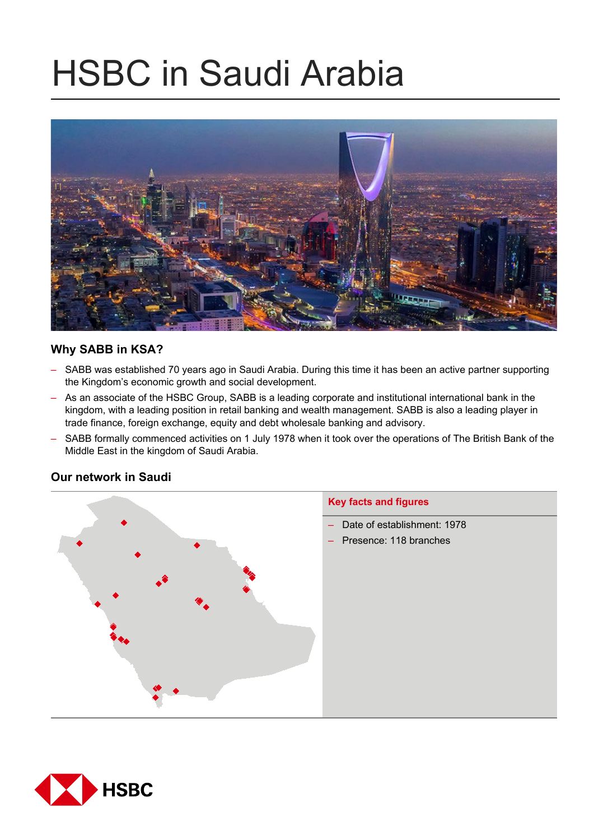# HSBC in Saudi Arabia



# **Why SABB in KSA?**

- SABB was established 70 years ago in Saudi Arabia. During this time it has been an active partner supporting the Kingdom's economic growth and social development.
- As an associate of the HSBC Group, SABB is a leading corporate and institutional international bank in the kingdom, with a leading position in retail banking and wealth management. SABB is also a leading player in trade finance, foreign exchange, equity and debt wholesale banking and advisory.
- SABB formally commenced activities on 1 July 1978 when it took over the operations of The British Bank of the Middle East in the kingdom of Saudi Arabia.

# **Key facts and figures**  – Date of establishment: 1978 – Presence: 118 branches